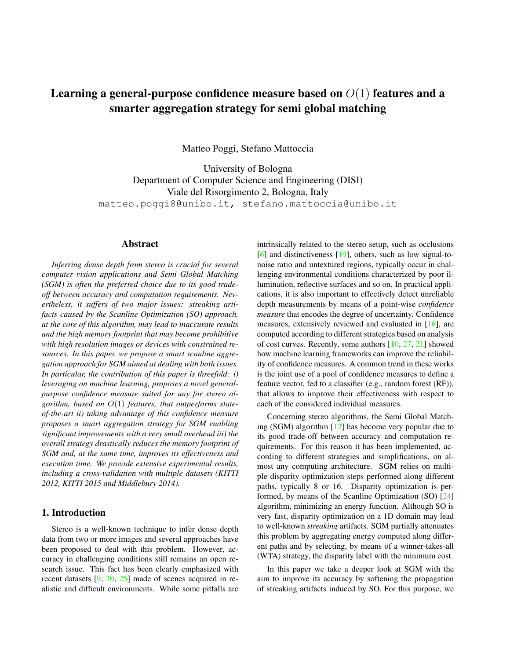# <span id="page-0-0"></span>Learning a general-purpose confidence measure based on  $O(1)$  features and a smarter aggregation strategy for semi global matching

Matteo Poggi, Stefano Mattoccia

University of Bologna Department of Computer Science and Engineering (DISI) Viale del Risorgimento 2, Bologna, Italy matteo.poggi8@unibo.it, stefano.mattoccia@unibo.it

## Abstract

*Inferring dense depth from stereo is crucial for several computer vision applications and Semi Global Matching (SGM) is often the preferred choice due to its good tradeoff between accuracy and computation requirements. Nevertheless, it suffers of two major issues: streaking artifacts caused by the Scanline Optimization (SO) approach, at the core of this algorithm, may lead to inaccurate results and the high memory footprint that may become prohibitive with high resolution images or devices with constrained resources. In this paper, we propose a smart scanline aggregation approach for SGM aimed at dealing with both issues. In particular, the contribution of this paper is threefold: i) leveraging on machine learning, proposes a novel generalpurpose confidence measure suited for any for stereo algorithm, based on* O(1) *features, that outperforms stateof-the-art ii) taking advantage of this confidence measure proposes a smart aggregation strategy for SGM enabling significant improvements with a very small overhead iii) the overall strategy drastically reduces the memory footprint of SGM and, at the same time, improves its effectiveness and execution time. We provide extensive experimental results, including a cross-validation with multiple datasets (KITTI 2012, KITTI 2015 and Middlebury 2014).*

# 1. Introduction

Stereo is a well-known technique to infer dense depth data from two or more images and several approaches have been proposed to deal with this problem. However, accuracy in challenging conditions still remains an open research issue. This fact has been clearly emphasized with recent datasets [\[9,](#page-8-0) [20,](#page-8-1) [25\]](#page-9-0) made of scenes acquired in realistic and difficult environments. While some pitfalls are intrinsically related to the stereo setup, such as occlusions [\[6\]](#page-8-2) and distinctiveness [\[19\]](#page-8-3), others, such as low signal-tonoise ratio and untextured regions, typically occur in challenging environmental conditions characterized by poor illumination, reflective surfaces and so on. In practical applications, it is also important to effectively detect unreliable depth measurements by means of a point-wise *confidence measure* that encodes the degree of uncertainty. Confidence measures, extensively reviewed and evaluated in [\[16\]](#page-8-4), are computed according to different strategies based on analysis of cost curves. Recently, some authors [\[10,](#page-8-5) [27,](#page-9-1) [21\]](#page-8-6) showed how machine learning frameworks can improve the reliability of confidence measures. A common trend in these works is the joint use of a pool of confidence measures to define a feature vector, fed to a classifier (e.g., random forest (RF)), that allows to improve their effectiveness with respect to each of the considered individual measures.

Concerning stereo algorithms, the Semi Global Matching (SGM) algorithm [\[12\]](#page-8-7) has become very popular due to its good trade-off between accuracy and computation requirements. For this reason it has been implemented, according to different strategies and simplifications, on almost any computing architecture. SGM relies on multiple disparity optimization steps performed along different paths, typically 8 or 16. Disparity optimization is performed, by means of the Scanline Optimization (SO) [\[24\]](#page-8-8) algorithm, minimizing an energy function. Although SO is very fast, disparity optimization on a 1D domain may lead to well-known *streaking* artifacts. SGM partially attenuates this problem by aggregating energy computed along different paths and by selecting, by means of a winner-takes-all (WTA) strategy, the disparity label with the minimum cost.

In this paper we take a deeper look at SGM with the aim to improve its accuracy by softening the propagation of streaking artifacts induced by SO. For this purpose, we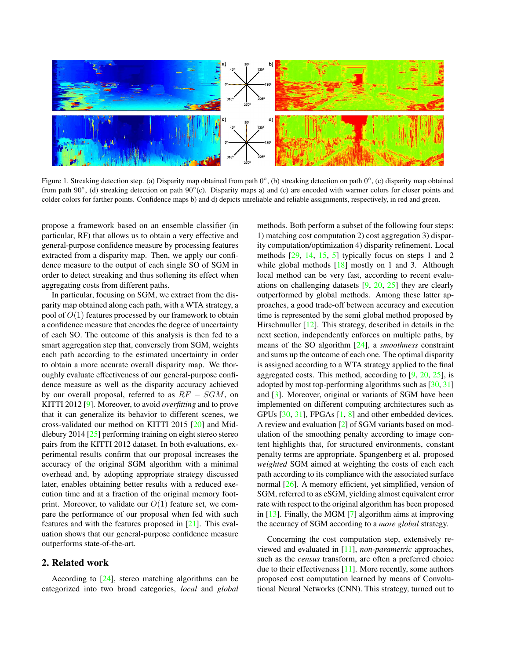<span id="page-1-1"></span>

<span id="page-1-0"></span>Figure 1. Streaking detection step. (a) Disparity map obtained from path  $0^{\circ}$ , (b) streaking detection on path  $0^{\circ}$ , (c) disparity map obtained from path  $90^\circ$ , (d) streaking detection on path  $90^\circ$ (c). Disparity maps a) and (c) are encoded with warmer colors for closer points and colder colors for farther points. Confidence maps b) and d) depicts unreliable and reliable assignments, respectively, in red and green.

propose a framework based on an ensemble classifier (in particular, RF) that allows us to obtain a very effective and general-purpose confidence measure by processing features extracted from a disparity map. Then, we apply our confidence measure to the output of each single SO of SGM in order to detect streaking and thus softening its effect when aggregating costs from different paths.

In particular, focusing on SGM, we extract from the disparity map obtained along each path, with a WTA strategy, a pool of  $O(1)$  features processed by our framework to obtain a confidence measure that encodes the degree of uncertainty of each SO. The outcome of this analysis is then fed to a smart aggregation step that, conversely from SGM, weights each path according to the estimated uncertainty in order to obtain a more accurate overall disparity map. We thoroughly evaluate effectiveness of our general-purpose confidence measure as well as the disparity accuracy achieved by our overall proposal, referred to as  $RF - SGM$ , on KITTI 2012 [\[9\]](#page-8-0). Moreover, to avoid *overfitting* and to prove that it can generalize its behavior to different scenes, we cross-validated our method on KITTI 2015 [\[20\]](#page-8-1) and Middlebury 2014 [\[25\]](#page-9-0) performing training on eight stereo stereo pairs from the KITTI 2012 dataset. In both evaluations, experimental results confirm that our proposal increases the accuracy of the original SGM algorithm with a minimal overhead and, by adopting appropriate strategy discussed later, enables obtaining better results with a reduced execution time and at a fraction of the original memory footprint. Moreover, to validate our  $O(1)$  feature set, we compare the performance of our proposal when fed with such features and with the features proposed in [\[21\]](#page-8-6). This evaluation shows that our general-purpose confidence measure outperforms state-of-the-art.

# 2. Related work

According to [\[24\]](#page-8-8), stereo matching algorithms can be categorized into two broad categories, *local* and *global* methods. Both perform a subset of the following four steps: 1) matching cost computation 2) cost aggregation 3) disparity computation/optimization 4) disparity refinement. Local methods [\[29,](#page-9-2) [14,](#page-8-9) [15,](#page-8-10) [5\]](#page-8-11) typically focus on steps 1 and 2 while global methods  $[18]$  mostly on 1 and 3. Although local method can be very fast, according to recent evaluations on challenging datasets [\[9,](#page-8-0) [20,](#page-8-1) [25\]](#page-9-0) they are clearly outperformed by global methods. Among these latter approaches, a good trade-off between accuracy and execution time is represented by the semi global method proposed by Hirschmuller [\[12\]](#page-8-7). This strategy, described in details in the next section, independently enforces on multiple paths, by means of the SO algorithm [\[24\]](#page-8-8), a *smoothness* constraint and sums up the outcome of each one. The optimal disparity is assigned according to a WTA strategy applied to the final aggregated costs. This method, according to [\[9,](#page-8-0) [20,](#page-8-1) [25\]](#page-9-0), is adopted by most top-performing algorithms such as [\[30,](#page-9-3) [31\]](#page-9-4) and [\[3\]](#page-8-13). Moreover, original or variants of SGM have been implemented on different computing architectures such as GPUs [\[30,](#page-9-3) [31\]](#page-9-4), FPGAs [\[1,](#page-8-14) [8\]](#page-8-15) and other embedded devices. A review and evaluation [\[2\]](#page-8-16) of SGM variants based on modulation of the smoothing penalty according to image content highlights that, for structured environments, constant penalty terms are appropriate. Spangenberg et al. proposed *weighted* SGM aimed at weighting the costs of each each path according to its compliance with the associated surface normal [\[26\]](#page-9-5). A memory efficient, yet simplified, version of SGM, referred to as eSGM, yielding almost equivalent error rate with respect to the original algorithm has been proposed in [\[13\]](#page-8-17). Finally, the MGM [\[7\]](#page-8-18) algorithm aims at improving the accuracy of SGM according to a *more global* strategy.

Concerning the cost computation step, extensively reviewed and evaluated in [\[11\]](#page-8-19), *non-parametric* approaches, such as the *census* transform, are often a preferred choice due to their effectiveness [\[11\]](#page-8-19). More recently, some authors proposed cost computation learned by means of Convolutional Neural Networks (CNN). This strategy, turned out to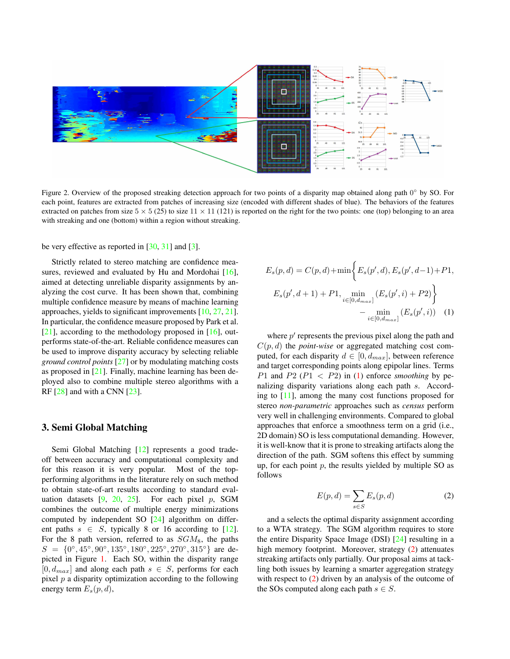<span id="page-2-3"></span>

<span id="page-2-2"></span>Figure 2. Overview of the proposed streaking detection approach for two points of a disparity map obtained along path 0° by SO. For each point, features are extracted from patches of increasing size (encoded with different shades of blue). The behaviors of the features extracted on patches from size  $5 \times 5$  (25) to size  $11 \times 11$  (121) is reported on the right for the two points: one (top) belonging to an area with streaking and one (bottom) within a region without streaking.

be very effective as reported in  $[30, 31]$  $[30, 31]$  $[30, 31]$  and  $[3]$ .

Strictly related to stereo matching are confidence mea-sures, reviewed and evaluated by Hu and Mordohai [\[16\]](#page-8-4), aimed at detecting unreliable disparity assignments by analyzing the cost curve. It has been shown that, combining multiple confidence measure by means of machine learning approaches, yields to significant improvements [\[10,](#page-8-5) [27,](#page-9-1) [21\]](#page-8-6). In particular, the confidence measure proposed by Park et al.  $[21]$ , according to the methodology proposed in  $[16]$ , outperforms state-of-the-art. Reliable confidence measures can be used to improve disparity accuracy by selecting reliable *ground control points* [\[27\]](#page-9-1) or by modulating matching costs as proposed in [\[21\]](#page-8-6). Finally, machine learning has been deployed also to combine multiple stereo algorithms with a RF [\[28\]](#page-9-6) and with a CNN [\[23\]](#page-8-20).

## 3. Semi Global Matching

Semi Global Matching [\[12\]](#page-8-7) represents a good tradeoff between accuracy and computational complexity and for this reason it is very popular. Most of the topperforming algorithms in the literature rely on such method to obtain state-of-art results according to standard evaluation datasets  $[9, 20, 25]$  $[9, 20, 25]$  $[9, 20, 25]$  $[9, 20, 25]$  $[9, 20, 25]$ . For each pixel p, SGM combines the outcome of multiple energy minimizations computed by independent SO [\[24\]](#page-8-8) algorithm on different paths  $s \in S$ , typically 8 or 16 according to [\[12\]](#page-8-7). For the 8 path version, referred to as  $SGM_8$ , the paths  $S = \{0, 6, 45, 90, 90, 135, 180, 225, 270, 315, 9\}$  are depicted in Figure [1.](#page-1-0) Each SO, within the disparity range  $[0, d_{max}]$  and along each path  $s \in S$ , performs for each pixel  $p$  a disparity optimization according to the following energy term  $E_s(p, d)$ ,

<span id="page-2-0"></span>
$$
E_s(p, d) = C(p, d) + \min\left\{E_s(p', d), E_s(p', d-1) + P1, \right.\nE_s(p', d+1) + P1, \min_{i \in [0, d_{max}]} (E_s(p', i) + P2)\right\}\n- \min_{i \in [0, d_{max}]} (E_s(p', i)) \quad (1)
$$

where  $p'$  represents the previous pixel along the path and  $C(p, d)$  the *point-wise* or aggregated matching cost computed, for each disparity  $d \in [0, d_{max}]$ , between reference and target corresponding points along epipolar lines. Terms P1 and P2 ( $P1 < P2$ ) in [\(1\)](#page-2-0) enforce *smoothing* by penalizing disparity variations along each path s. According to [\[11\]](#page-8-19), among the many cost functions proposed for stereo *non-parametric* approaches such as *census* perform very well in challenging environments. Compared to global approaches that enforce a smoothness term on a grid (i.e., 2D domain) SO is less computational demanding. However, it is well-know that it is prone to streaking artifacts along the direction of the path. SGM softens this effect by summing up, for each point  $p$ , the results yielded by multiple SO as follows

<span id="page-2-1"></span>
$$
E(p,d) = \sum_{s \in S} E_s(p,d)
$$
 (2)

and a selects the optimal disparity assignment according to a WTA strategy. The SGM algorithm requires to store the entire Disparity Space Image (DSI) [\[24\]](#page-8-8) resulting in a high memory footprint. Moreover, strategy [\(2\)](#page-2-1) attenuates streaking artifacts only partially. Our proposal aims at tackling both issues by learning a smarter aggregation strategy with respect to [\(2\)](#page-2-1) driven by an analysis of the outcome of the SOs computed along each path  $s \in S$ .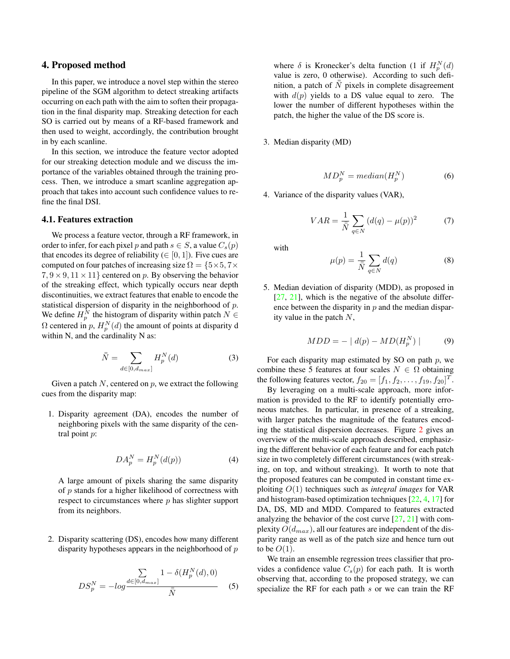## <span id="page-3-0"></span>4. Proposed method

In this paper, we introduce a novel step within the stereo pipeline of the SGM algorithm to detect streaking artifacts occurring on each path with the aim to soften their propagation in the final disparity map. Streaking detection for each SO is carried out by means of a RF-based framework and then used to weight, accordingly, the contribution brought in by each scanline.

In this section, we introduce the feature vector adopted for our streaking detection module and we discuss the importance of the variables obtained through the training process. Then, we introduce a smart scanline aggregation approach that takes into account such confidence values to refine the final DSI.

## 4.1. Features extraction

We process a feature vector, through a RF framework, in order to infer, for each pixel p and path  $s \in S$ , a value  $C_s(p)$ that encodes its degree of reliability ( $\in [0, 1]$ ). Five cues are computed on four patches of increasing size  $\Omega = \{5 \times 5, 7 \times$  $7, 9 \times 9, 11 \times 11$  centered on p. By observing the behavior of the streaking effect, which typically occurs near depth discontinuities, we extract features that enable to encode the statistical dispersion of disparity in the neighborhood of  $p$ . We define  $H_p^N$  the histogram of disparity within patch  $N \in$  $\Omega$  centered in p,  $H_p^N(d)$  the amount of points at disparity d within N, and the cardinality N as:

$$
\bar{\bar{N}} = \sum_{d \in [0, d_{max}]} H_p^N(d) \tag{3}
$$

Given a patch  $N$ , centered on  $p$ , we extract the following cues from the disparity map:

1. Disparity agreement (DA), encodes the number of neighboring pixels with the same disparity of the central point p:

$$
DA_p^N = H_p^N(d(p))\tag{4}
$$

A large amount of pixels sharing the same disparity of p stands for a higher likelihood of correctness with respect to circumstances where p has slighter support from its neighbors.

2. Disparity scattering (DS), encodes how many different disparity hypotheses appears in the neighborhood of  $p$ 

$$
DS_p^N = -\log \frac{\sum_{d \in [0, d_{max}]} 1 - \delta(H_p^N(d), 0)}{\bar{\bar{N}}}
$$
 (5)

where  $\delta$  is Kronecker's delta function (1 if  $H_p^N(d)$ value is zero, 0 otherwise). According to such definition, a patch of  $N$  pixels in complete disagreement with  $d(p)$  yields to a DS value equal to zero. The lower the number of different hypotheses within the patch, the higher the value of the DS score is.

3. Median disparity (MD)

$$
MD_p^N = median(H_p^N)
$$
 (6)

4. Variance of the disparity values (VAR),

$$
VAR = \frac{1}{\overline{N}} \sum_{q \in N} (d(q) - \mu(p))^2 \tag{7}
$$

with

$$
\mu(p) = \frac{1}{\bar{N}} \sum_{q \in N} d(q) \tag{8}
$$

5. Median deviation of disparity (MDD), as proposed in  $[27, 21]$  $[27, 21]$  $[27, 21]$ , which is the negative of the absolute difference between the disparity in  $p$  and the median disparity value in the patch  $N$ ,

$$
MDD = - | d(p) - MD(H_p^N) | \tag{9}
$$

For each disparity map estimated by SO on path  $p$ , we combine these 5 features at four scales  $N \in \Omega$  obtaining the following features vector,  $f_{20} = [f_1, f_2, \dots, f_{19}, f_{20}]^T$ .

By leveraging on a multi-scale approach, more information is provided to the RF to identify potentially erroneous matches. In particular, in presence of a streaking, with larger patches the magnitude of the features encoding the statistical dispersion decreases. Figure [2](#page-2-2) gives an overview of the multi-scale approach described, emphasizing the different behavior of each feature and for each patch size in two completely different circumstances (with streaking, on top, and without streaking). It worth to note that the proposed features can be computed in constant time exploiting O(1) techniques such as *integral images* for VAR and histogram-based optimization techniques [\[22,](#page-8-21) [4,](#page-8-22) [17\]](#page-8-23) for DA, DS, MD and MDD. Compared to features extracted analyzing the behavior of the cost curve [\[27,](#page-9-1) [21\]](#page-8-6) with complexity  $O(d_{max})$ , all our features are independent of the disparity range as well as of the patch size and hence turn out to be  $O(1)$ .

We train an ensemble regression trees classifier that provides a confidence value  $C_s(p)$  for each path. It is worth observing that, according to the proposed strategy, we can specialize the RF for each path s or we can train the RF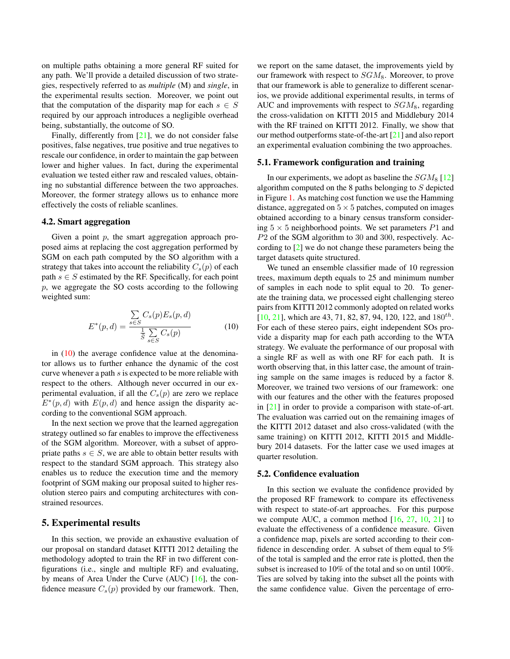<span id="page-4-1"></span>on multiple paths obtaining a more general RF suited for any path. We'll provide a detailed discussion of two strategies, respectively referred to as *multiple* (M) and *single*, in the experimental results section. Moreover, we point out that the computation of the disparity map for each  $s \in S$ required by our approach introduces a negligible overhead being, substantially, the outcome of SO.

Finally, differently from [\[21\]](#page-8-6), we do not consider false positives, false negatives, true positive and true negatives to rescale our confidence, in order to maintain the gap between lower and higher values. In fact, during the experimental evaluation we tested either raw and rescaled values, obtaining no substantial difference between the two approaches. Moreover, the former strategy allows us to enhance more effectively the costs of reliable scanlines.

#### 4.2. Smart aggregation

Given a point  $p$ , the smart aggregation approach proposed aims at replacing the cost aggregation performed by SGM on each path computed by the SO algorithm with a strategy that takes into account the reliability  $C_s(p)$  of each path  $s \in S$  estimated by the RF. Specifically, for each point p, we aggregate the SO costs according to the following weighted sum:

<span id="page-4-0"></span>
$$
E^*(p,d) = \frac{\sum\limits_{s \in S} C_s(p) E_s(p,d)}{\frac{1}{\overline{S}} \sum\limits_{s \in S} C_s(p)}
$$
(10)

in  $(10)$  the average confidence value at the denominator allows us to further enhance the dynamic of the cost curve whenever a path s is expected to be more reliable with respect to the others. Although never occurred in our experimental evaluation, if all the  $C_s(p)$  are zero we replace  $E^*(p,d)$  with  $E(p,d)$  and hence assign the disparity according to the conventional SGM approach.

In the next section we prove that the learned aggregation strategy outlined so far enables to improve the effectiveness of the SGM algorithm. Moreover, with a subset of appropriate paths  $s \in S$ , we are able to obtain better results with respect to the standard SGM approach. This strategy also enables us to reduce the execution time and the memory footprint of SGM making our proposal suited to higher resolution stereo pairs and computing architectures with constrained resources.

## 5. Experimental results

In this section, we provide an exhaustive evaluation of our proposal on standard dataset KITTI 2012 detailing the methodology adopted to train the RF in two different configurations (i.e., single and multiple RF) and evaluating, by means of Area Under the Curve (AUC) [\[16\]](#page-8-4), the confidence measure  $C_s(p)$  provided by our framework. Then,

we report on the same dataset, the improvements yield by our framework with respect to  $SGM_8$ . Moreover, to prove that our framework is able to generalize to different scenarios, we provide additional experimental results, in terms of AUC and improvements with respect to  $SGM_8$ , regarding the cross-validation on KITTI 2015 and Middlebury 2014 with the RF trained on KITTI 2012. Finally, we show that our method outperforms state-of-the-art [\[21\]](#page-8-6) and also report an experimental evaluation combining the two approaches.

#### 5.1. Framework configuration and training

In our experiments, we adopt as baseline the  $SGM_8$  [\[12\]](#page-8-7) algorithm computed on the 8 paths belonging to  $S$  depicted in Figure [1.](#page-1-0) As matching cost function we use the Hamming distance, aggregated on  $5 \times 5$  patches, computed on images obtained according to a binary census transform considering  $5 \times 5$  neighborhood points. We set parameters  $P1$  and P2 of the SGM algorithm to 30 and 300, respectively. According to [\[2\]](#page-8-16) we do not change these parameters being the target datasets quite structured.

We tuned an ensemble classifier made of 10 regression trees, maximum depth equals to 25 and minimum number of samples in each node to split equal to 20. To generate the training data, we processed eight challenging stereo pairs from KITTI 2012 commonly adopted on related works [\[10,](#page-8-5) [21\]](#page-8-6), which are 43, 71, 82, 87, 94, 120, 122, and  $180^{th}$ . For each of these stereo pairs, eight independent SOs provide a disparity map for each path according to the WTA strategy. We evaluate the performance of our proposal with a single RF as well as with one RF for each path. It is worth observing that, in this latter case, the amount of training sample on the same images is reduced by a factor 8. Moreover, we trained two versions of our framework: one with our features and the other with the features proposed in [\[21\]](#page-8-6) in order to provide a comparison with state-of-art. The evaluation was carried out on the remaining images of the KITTI 2012 dataset and also cross-validated (with the same training) on KITTI 2012, KITTI 2015 and Middlebury 2014 datasets. For the latter case we used images at quarter resolution.

#### 5.2. Confidence evaluation

In this section we evaluate the confidence provided by the proposed RF framework to compare its effectiveness with respect to state-of-art approaches. For this purpose we compute AUC, a common method  $[16, 27, 10, 21]$  $[16, 27, 10, 21]$  $[16, 27, 10, 21]$  $[16, 27, 10, 21]$  $[16, 27, 10, 21]$  $[16, 27, 10, 21]$  $[16, 27, 10, 21]$  to evaluate the effectiveness of a confidence measure. Given a confidence map, pixels are sorted according to their confidence in descending order. A subset of them equal to 5% of the total is sampled and the error rate is plotted, then the subset is increased to 10% of the total and so on until 100%. Ties are solved by taking into the subset all the points with the same confidence value. Given the percentage of erro-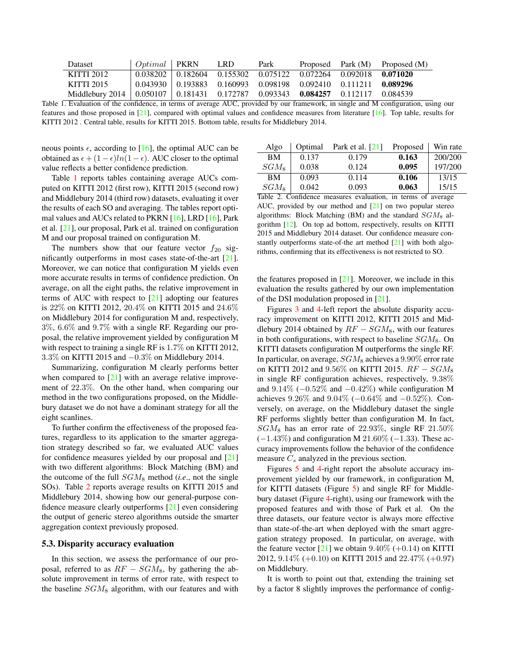<span id="page-5-2"></span>

| <b>Dataset</b>                                                                     | $Optimal$ PKRN |                                                                                     | LRD. | Park |  | Proposed Park $(M)$ Proposed $(M)$ |
|------------------------------------------------------------------------------------|----------------|-------------------------------------------------------------------------------------|------|------|--|------------------------------------|
| KITTI 2012                                                                         |                | $0.038202$   $0.182604$ $0.155302$ $0.075122$ $0.072264$ $0.092018$ <b>0.071020</b> |      |      |  |                                    |
| KITTI 2015                                                                         |                | $0.043930 \pm 0.193883 \quad 0.160993 \quad 0.098198 \quad 0.092410 \quad 0.111211$ |      |      |  | 0.089296                           |
| Middlebury 2014   0.050107   0.181431 0.172787 0.093343 0.084257 0.112117 0.084539 |                |                                                                                     |      |      |  |                                    |

<span id="page-5-0"></span>Table 1. Evaluation of the confidence, in terms of average AUC, provided by our framework, in single and M configuration, using our features and those proposed in [\[21\]](#page-8-6), compared with optimal values and confidence measures from literature [\[16\]](#page-8-4). Top table, results for KITTI 2012 . Central table, results for KITTI 2015. Bottom table, results for Middlebury 2014.

neous points  $\epsilon$ , according to [\[16\]](#page-8-4), the optimal AUC can be obtained as  $\epsilon + (1 - \epsilon)ln(1 - \epsilon)$ . AUC closer to the optimal value reflects a better confidence prediction.

Table [1](#page-5-0) reports tables containing average AUCs computed on KITTI 2012 (first row), KITTI 2015 (second row) and Middlebury 2014 (third row) datasets, evaluating it over the results of each SO and averaging. The tables report optimal values and AUCs related to PKRN [\[16\]](#page-8-4), LRD [\[16\]](#page-8-4), Park et al. [\[21\]](#page-8-6), our proposal, Park et al. trained on configuration M and our proposal trained on configuration M.

The numbers show that our feature vector  $f_{20}$  significantly outperforms in most cases state-of-the-art [\[21\]](#page-8-6). Moreover, we can notice that configuration M yields even more accurate results in terms of confidence prediction. On average, on all the eight paths, the relative improvement in terms of AUC with respect to [\[21\]](#page-8-6) adopting our features is 22% on KITTI 2012, 20.4% on KITTI 2015 and 24.6% on Middlebury 2014 for configuration M and, respectively, 3%, 6.6% and 9.7% with a single RF. Regarding our proposal, the relative improvement yielded by configuration M with respect to training a single RF is 1.7% on KITTI 2012, 3.3% on KITTI 2015 and −0.3% on Middlebury 2014.

Summarizing, configuration M clearly performs better when compared to  $[21]$  with an average relative improvement of 22.3%. On the other hand, when comparing our method in the two configurations proposed, on the Middlebury dataset we do not have a dominant strategy for all the eight scanlines.

To further confirm the effectiveness of the proposed features, regardless to its application to the smarter aggregation strategy described so far, we evaluated AUC values for confidence measures yielded by our proposal and [\[21\]](#page-8-6) with two different algorithms: Block Matching (BM) and the outcome of the full  $SGM_8$  method (*i.e.*, not the single SOs). Table [2](#page-5-1) reports average results on KITTI 2015 and Middlebury 2014, showing how our general-purpose confidence measure clearly outperforms [\[21\]](#page-8-6) even considering the output of generic stereo algorithms outside the smarter aggregation context previously proposed.

#### 5.3. Disparity accuracy evaluation

In this section, we assess the performance of our proposal, referred to as  $RF - SGM_8$ , by gathering the absolute improvement in terms of error rate, with respect to the baseline  $SGM_8$  algorithm, with our features and with

| Algo      | Optimal | Park et al. $[21]$ | Proposed | Win rate |
|-----------|---------|--------------------|----------|----------|
| <b>BM</b> | 0.137   | 0.179              | 0.163    | 200/200  |
| $SGM_8$   | 0.038   | 0.124              | 0.095    | 197/200  |
| <b>BM</b> | 0.093   | 0.114              | 0.106    | 13/15    |
| $SGM_8$   | 0.042   | 0.093              | 0.063    | 15/15    |
| - - -     | $\sim$  |                    |          |          |

<span id="page-5-1"></span>Table 2. Confidence measures evaluation, in terms of average AUC, provided by our method and [\[21\]](#page-8-6) on two popular stereo algorithms: Block Matching (BM) and the standard  $SGM_8$  algorithm [\[12\]](#page-8-7). On top ad bottom, respectively, results on KITTI 2015 and Middlebury 2014 dataset. Our confidence measure constantly outperforms state-of-the art method [\[21\]](#page-8-6) with both algorithms, confirming that its effectiveness is not restricted to SO.

the features proposed in  $[21]$ . Moreover, we include in this evaluation the results gathered by our own implementation of the DSI modulation proposed in [\[21\]](#page-8-6).

Figures [3](#page-6-0) and [4-](#page-6-1)left report the absolute disparity accuracy improvement on KITTI 2012, KITTI 2015 and Middlebury 2014 obtained by  $RF - SGM_8$ , with our features in both configurations, with respect to baseline  $SGM_8$ . On KITTI datasets configuration M outperforms the single RF. In particular, on average,  $SGM_8$  achieves a 9.90% error rate on KITTI 2012 and  $9.56\%$  on KITTI 2015.  $RF - SGM_8$ in single RF configuration achieves, respectively, 9.38% and  $9.14\%$  ( $-0.52\%$  and  $-0.42\%$ ) while configuration M achieves 9.26% and 9.04% (−0.64% and −0.52%). Conversely, on average, on the Middlebury dataset the single RF performs slightly better than configuration M. In fact,  $SGM_8$  has an error rate of 22.93%, single RF 21.50%  $(-1.43\%)$  and configuration M 21.60% (−1.33). These accuracy improvements follow the behavior of the confidence measure  $C_s$  analyzed in the previous section.

Figures [5](#page-7-0) and [4-](#page-6-1)right report the absolute accuracy improvement yielded by our framework, in configuration M, for KITTI datasets (Figure [5\)](#page-7-0) and single RF for Middlebury dataset (Figure [4-](#page-6-1)right), using our framework with the proposed features and with those of Park et al. On the three datasets, our feature vector is always more effective than state-of-the-art when deployed with the smart aggregation strategy proposed. In particular, on average, with the feature vector  $[21]$  we obtain  $9.40\%$  (+0.14) on KITTI 2012, 9.14% (+0.10) on KITTI 2015 and 22.47% (+0.97) on Middlebury.

It is worth to point out that, extending the training set by a factor 8 slightly improves the performance of config-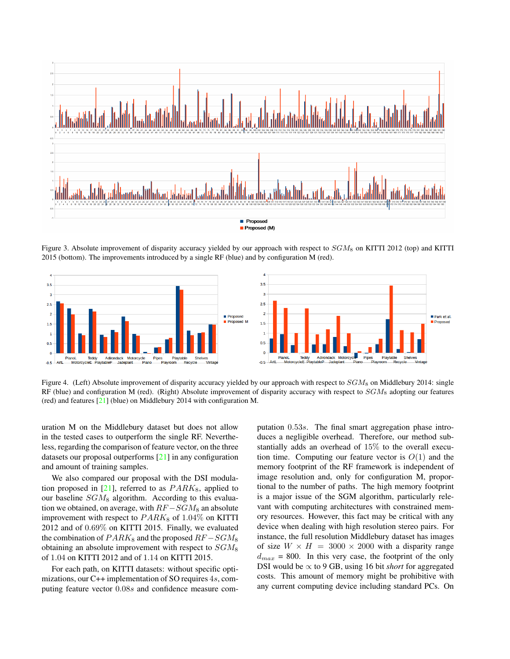<span id="page-6-2"></span>

<span id="page-6-0"></span>Figure 3. Absolute improvement of disparity accuracy yielded by our approach with respect to  $SGM_8$  on KITTI 2012 (top) and KITTI 2015 (bottom). The improvements introduced by a single RF (blue) and by configuration M (red).



<span id="page-6-1"></span>Figure 4. (Left) Absolute improvement of disparity accuracy yielded by our approach with respect to  $SGM_8$  on Middlebury 2014: single RF (blue) and configuration M (red). (Right) Absolute improvement of disparity accuracy with respect to  $SGM_8$  adopting our features (red) and features [\[21\]](#page-8-6) (blue) on Middlebury 2014 with configuration M.

uration M on the Middlebury dataset but does not allow in the tested cases to outperform the single RF. Nevertheless, regarding the comparison of feature vector, on the three datasets our proposal outperforms [\[21\]](#page-8-6) in any configuration and amount of training samples.

We also compared our proposal with the DSI modulation proposed in  $[21]$ , referred to as  $PARK_8$ , applied to our baseline  $SGM_8$  algorithm. According to this evaluation we obtained, on average, with  $RF -SGM_8$  an absolute improvement with respect to  $PARK_8$  of 1.04% on KITTI 2012 and of 0.69% on KITTI 2015. Finally, we evaluated the combination of  $PARK_8$  and the proposed  $RF-SGM_8$ obtaining an absolute improvement with respect to  $SGM_8$ of 1.04 on KITTI 2012 and of 1.14 on KITTI 2015.

For each path, on KITTI datasets: without specific optimizations, our C++ implementation of SO requires 4s, computing feature vector 0.08s and confidence measure computation 0.53s. The final smart aggregation phase introduces a negligible overhead. Therefore, our method substantially adds an overhead of 15% to the overall execution time. Computing our feature vector is  $O(1)$  and the memory footprint of the RF framework is independent of image resolution and, only for configuration M, proportional to the number of paths. The high memory footprint is a major issue of the SGM algorithm, particularly relevant with computing architectures with constrained memory resources. However, this fact may be critical with any device when dealing with high resolution stereo pairs. For instance, the full resolution Middlebury dataset has images of size  $W \times H = 3000 \times 2000$  with a disparity range  $d_{max}$  = 800. In this very case, the footprint of the only DSI would be  $\propto$  to 9 GB, using 16 bit *short* for aggregated costs. This amount of memory might be prohibitive with any current computing device including standard PCs. On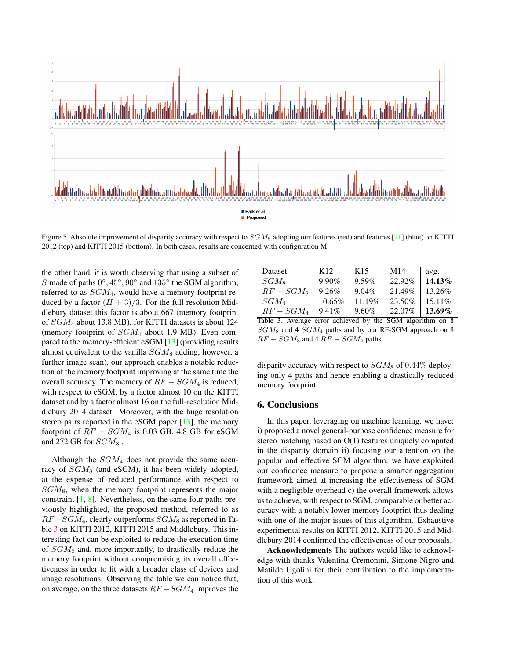<span id="page-7-2"></span>

<span id="page-7-0"></span>Figure 5. Absolute improvement of disparity accuracy with respect to  $SGM_8$  adopting our features (red) and features [\[21\]](#page-8-6) (blue) on KITTI 2012 (top) and KITTI 2015 (bottom). In both cases, results are concerned with configuration M.

the other hand, it is worth observing that using a subset of S made of paths  $0^\circ$ ,  $45^\circ$ ,  $90^\circ$  and  $135^\circ$  the SGM algorithm, referred to as SGM4, would have a memory footprint reduced by a factor  $(H + 3)/3$ . For the full resolution Middlebury dataset this factor is about 667 (memory footprint of  $SGM_4$  about 13.8 MB), for KITTI datasets is about 124 (memory footprint of  $SGM_4$  about 1.9 MB). Even compared to the memory-efficient eSGM [\[13\]](#page-8-17) (providing results almost equivalent to the vanilla  $SGM_8$  adding, however, a further image scan), our approach enables a notable reduction of the memory footprint improving at the same time the overall accuracy. The memory of  $RF - SGM_4$  is reduced, with respect to eSGM, by a factor almost 10 on the KITTI dataset and by a factor almost 16 on the full-resolution Middlebury 2014 dataset. Moreover, with the huge resolution stereo pairs reported in the eSGM paper [\[13\]](#page-8-17), the memory footprint of  $RF - SGM_4$  is 0.03 GB, 4.8 GB for eSGM and 272 GB for  $SGM_8$ .

Although the SGM<sup>4</sup> does not provide the same accuracy of  $SGM_8$  (and eSGM), it has been widely adopted, at the expense of reduced performance with respect to  $SGM_8$ , when the memory footprint represents the major constraint  $[1, 8]$  $[1, 8]$  $[1, 8]$ . Nevertheless, on the same four paths previously highlighted, the proposed method, referred to as  $RF-SGM<sub>4</sub>$ , clearly outperforms  $SGM<sub>8</sub>$  as reported in Table [3](#page-7-1) on KITTI 2012, KITTI 2015 and Middlebury. This interesting fact can be exploited to reduce the execution time of  $SGM_8$  and, more importantly, to drastically reduce the memory footprint without compromising its overall effectiveness in order to fit with a broader class of devices and image resolutions. Observing the table we can notice that, on average, on the three datasets  $RF - SGM_4$  improves the

| Dataset    | K <sub>12</sub> | K <sub>15</sub> | M14    | avg.      |
|------------|-----------------|-----------------|--------|-----------|
| $SGM_8$    | $9.90\%$        | $9.59\%$        | 22.92% | 14.13%    |
| $RF-SGM_8$ | 9.26%           | $9.04\%$        | 21.49% | 13.26%    |
| $SGM_4$    | $10.65\%$       | 11.19%          | 23.50% | $15.11\%$ |
| $RF-SGM_A$ | $9.41\%$        | $9.60\%$        | 22.07% | 13.69%    |

<span id="page-7-1"></span>Table 3. Average error achieved by the SGM algorithm on 8  $SGM_8$  and 4  $SGM_4$  paths and by our RF-SGM approach on 8  $RF - SGM_8$  and  $4RF - SGM_4$  paths.

disparity accuracy with respect to  $SGM_8$  of 0.44% deploying only 4 paths and hence enabling a drastically reduced memory footprint.

## 6. Conclusions

In this paper, leveraging on machine learning, we have: i) proposed a novel general-purpose confidence measure for stereo matching based on O(1) features uniquely computed in the disparity domain ii) focusing our attention on the popular and effective SGM algorithm, we have exploited our confidence measure to propose a smarter aggregation framework aimed at increasing the effectiveness of SGM with a negligible overhead c) the overall framework allows us to achieve, with respect to SGM, comparable or better accuracy with a notably lower memory footprint thus dealing with one of the major issues of this algorithm. Exhaustive experimental results on KITTI 2012, KITTI 2015 and Middlebury 2014 confirmed the effectiveness of our proposals.

Acknowledgments The authors would like to acknowledge with thanks Valentina Cremonini, Simone Nigro and Matilde Ugolini for their contribution to the implementation of this work.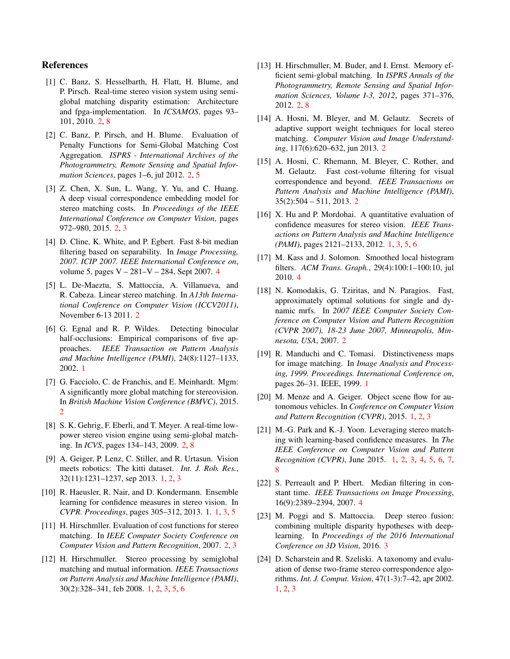# References

- <span id="page-8-14"></span>[1] C. Banz, S. Hesselbarth, H. Flatt, H. Blume, and P. Pirsch. Real-time stereo vision system using semiglobal matching disparity estimation: Architecture and fpga-implementation. In *ICSAMOS*, pages 93– 101, 2010. [2,](#page-1-1) [8](#page-7-2)
- <span id="page-8-16"></span>[2] C. Banz, P. Pirsch, and H. Blume. Evaluation of Penalty Functions for Semi-Global Matching Cost Aggregation. *ISPRS - International Archives of the Photogrammetry, Remote Sensing and Spatial Information Sciences*, pages 1–6, jul 2012. [2,](#page-1-1) [5](#page-4-1)
- <span id="page-8-13"></span>[3] Z. Chen, X. Sun, L. Wang, Y. Yu, and C. Huang. A deep visual correspondence embedding model for stereo matching costs. In *Proceedings of the IEEE International Conference on Computer Vision*, pages 972–980, 2015. [2,](#page-1-1) [3](#page-2-3)
- <span id="page-8-22"></span>[4] D. Cline, K. White, and P. Egbert. Fast 8-bit median filtering based on separability. In *Image Processing, 2007. ICIP 2007. IEEE International Conference on*, volume 5, pages V – 281–V – 284, Sept 2007. [4](#page-3-0)
- <span id="page-8-11"></span>[5] L. De-Maeztu, S. Mattoccia, A. Villanueva, and R. Cabeza. Linear stereo matching. In *A13th International Conference on Computer Vision (ICCV2011)*, November 6-13 2011. [2](#page-1-1)
- <span id="page-8-2"></span>[6] G. Egnal and R. P. Wildes. Detecting binocular half-occlusions: Empirical comparisons of five approaches. *IEEE Transaction on Pattern Analysis and Machine Intelligence (PAMI)*, 24(8):1127–1133, 2002. [1](#page-0-0)
- <span id="page-8-18"></span>[7] G. Facciolo, C. de Franchis, and E. Meinhardt. Mgm: A significantly more global matching for stereovision. In *British Machine Vision Conference (BMVC)*, 2015. [2](#page-1-1)
- <span id="page-8-15"></span>[8] S. K. Gehrig, F. Eberli, and T. Meyer. A real-time lowpower stereo vision engine using semi-global matching. In *ICVS*, pages 134–143, 2009. [2,](#page-1-1) [8](#page-7-2)
- <span id="page-8-0"></span>[9] A. Geiger, P. Lenz, C. Stiller, and R. Urtasun. Vision meets robotics: The kitti dataset. *Int. J. Rob. Res.*, 32(11):1231–1237, sep 2013. [1,](#page-0-0) [2,](#page-1-1) [3](#page-2-3)
- <span id="page-8-5"></span>[10] R. Haeusler, R. Nair, and D. Kondermann. Ensemble learning for confidence measures in stereo vision. In *CVPR. Proceedings*, pages 305–312, 2013. 1. [1,](#page-0-0) [3,](#page-2-3) [5](#page-4-1)
- <span id="page-8-19"></span>[11] H. Hirschmller. Evaluation of cost functions for stereo matching. In *IEEE Computer Society Conference on Computer Vision and Pattern Recognition*, 2007. [2,](#page-1-1) [3](#page-2-3)
- <span id="page-8-7"></span>[12] H. Hirschmuller. Stereo processing by semiglobal matching and mutual information. *IEEE Transactions on Pattern Analysis and Machine Intelligence (PAMI)*, 30(2):328–341, feb 2008. [1,](#page-0-0) [2,](#page-1-1) [3,](#page-2-3) [5,](#page-4-1) [6](#page-5-2)
- <span id="page-8-17"></span>[13] H. Hirschmuller, M. Buder, and I. Ernst. Memory efficient semi-global matching. In *ISPRS Annals of the Photogrammetry, Remote Sensing and Spatial Information Sciences, Volume I-3, 2012*, pages 371–376, 2012. [2,](#page-1-1) [8](#page-7-2)
- <span id="page-8-9"></span>[14] A. Hosni, M. Bleyer, and M. Gelautz. Secrets of adaptive support weight techniques for local stereo matching. *Computer Vision and Image Understanding*, 117(6):620–632, jun 2013. [2](#page-1-1)
- <span id="page-8-10"></span>[15] A. Hosni, C. Rhemann, M. Bleyer, C. Rother, and M. Gelautz. Fast cost-volume filtering for visual correspondence and beyond. *IEEE Transactions on Pattern Analysis and Machine Intelligence (PAMI)*, 35(2):504 – 511, 2013. [2](#page-1-1)
- <span id="page-8-4"></span>[16] X. Hu and P. Mordohai. A quantitative evaluation of confidence measures for stereo vision. *IEEE Transactions on Pattern Analysis and Machine Intelligence (PAMI)*, pages 2121–2133, 2012. [1,](#page-0-0) [3,](#page-2-3) [5,](#page-4-1) [6](#page-5-2)
- <span id="page-8-23"></span>[17] M. Kass and J. Solomon. Smoothed local histogram filters. *ACM Trans. Graph.*, 29(4):100:1–100:10, jul 2010. [4](#page-3-0)
- <span id="page-8-12"></span>[18] N. Komodakis, G. Tziritas, and N. Paragios. Fast, approximately optimal solutions for single and dynamic mrfs. In *2007 IEEE Computer Society Conference on Computer Vision and Pattern Recognition (CVPR 2007), 18-23 June 2007, Minneapolis, Minnesota, USA*, 2007. [2](#page-1-1)
- <span id="page-8-3"></span>[19] R. Manduchi and C. Tomasi. Distinctiveness maps for image matching. In *Image Analysis and Processing, 1999. Proceedings. International Conference on*, pages 26–31. IEEE, 1999. [1](#page-0-0)
- <span id="page-8-1"></span>[20] M. Menze and A. Geiger. Object scene flow for autonomous vehicles. In *Conference on Computer Vision and Pattern Recognition (CVPR)*, 2015. [1,](#page-0-0) [2,](#page-1-1) [3](#page-2-3)
- <span id="page-8-6"></span>[21] M.-G. Park and K.-J. Yoon. Leveraging stereo matching with learning-based confidence measures. In *The IEEE Conference on Computer Vision and Pattern Recognition (CVPR)*, June 2015. [1,](#page-0-0) [2,](#page-1-1) [3,](#page-2-3) [4,](#page-3-0) [5,](#page-4-1) [6,](#page-5-2) [7,](#page-6-2) [8](#page-7-2)
- <span id="page-8-21"></span>[22] S. Perreault and P. Hbert. Median filtering in constant time. *IEEE Transactions on Image Processing*, 16(9):2389–2394, 2007. [4](#page-3-0)
- <span id="page-8-20"></span>[23] M. Poggi and S. Mattoccia. Deep stereo fusion: combining multiple disparity hypotheses with deeplearning. In *Proceedings of the 2016 International Conference on 3D Vision*, 2016. [3](#page-2-3)
- <span id="page-8-8"></span>[24] D. Scharstein and R. Szeliski. A taxonomy and evaluation of dense two-frame stereo correspondence algorithms. *Int. J. Comput. Vision*, 47(1-3):7–42, apr 2002. [1,](#page-0-0) [2,](#page-1-1) [3](#page-2-3)